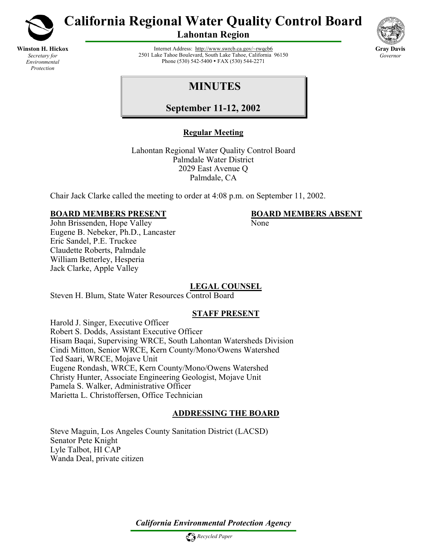

**Winston H. Hickox** *Secretary for Environmental Protection*

**California Regional Water Quality Control Board** 

**Lahontan Region** 



Internet Address:<http://www.swrcb.ca.gov/~rwqcb6> 2501 Lake Tahoe Boulevard, South Lake Tahoe, California 96150 Phone (530) 542-5400 • FAX (530) 544-2271

# **MINUTES**

**September 11-12, 2002**

# **Regular Meeting**

Lahontan Regional Water Quality Control Board Palmdale Water District 2029 East Avenue Q Palmdale, CA

Chair Jack Clarke called the meeting to order at 4:08 p.m. on September 11, 2002.

# **BOARD MEMBERS PRESENT BOARD MEMBERS ABSENT**

John Brissenden, Hope Valley None Eugene B. Nebeker, Ph.D., Lancaster Eric Sandel, P.E. Truckee Claudette Roberts, Palmdale William Betterley, Hesperia Jack Clarke, Apple Valley

# **LEGAL COUNSEL**

Steven H. Blum, State Water Resources Control Board

# **STAFF PRESENT**

Harold J. Singer, Executive Officer Robert S. Dodds, Assistant Executive Officer Hisam Baqai, Supervising WRCE, South Lahontan Watersheds Division Cindi Mitton, Senior WRCE, Kern County/Mono/Owens Watershed Ted Saari, WRCE, Mojave Unit Eugene Rondash, WRCE, Kern County/Mono/Owens Watershed Christy Hunter, Associate Engineering Geologist, Mojave Unit Pamela S. Walker, Administrative Officer Marietta L. Christoffersen, Office Technician

# **ADDRESSING THE BOARD**

Steve Maguin, Los Angeles County Sanitation District (LACSD) Senator Pete Knight Lyle Talbot, HI CAP Wanda Deal, private citizen

*California Environmental Protection Agency*

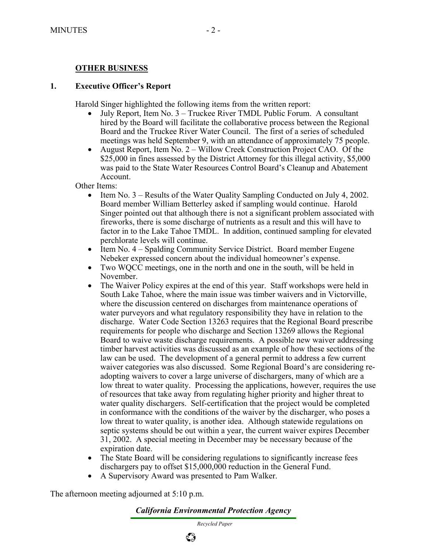# **OTHER BUSINESS**

#### **1. Executive Officer's Report**

Harold Singer highlighted the following items from the written report:

- July Report, Item No. 3 Truckee River TMDL Public Forum. A consultant hired by the Board will facilitate the collaborative process between the Regional Board and the Truckee River Water Council. The first of a series of scheduled meetings was held September 9, with an attendance of approximately 75 people.
- August Report, Item No. 2 Willow Creek Construction Project CAO. Of the \$25,000 in fines assessed by the District Attorney for this illegal activity, \$5,000 was paid to the State Water Resources Control Board's Cleanup and Abatement Account.

Other Items:

- Item No. 3 Results of the Water Quality Sampling Conducted on July 4, 2002. Board member William Betterley asked if sampling would continue. Harold Singer pointed out that although there is not a significant problem associated with fireworks, there is some discharge of nutrients as a result and this will have to factor in to the Lake Tahoe TMDL. In addition, continued sampling for elevated perchlorate levels will continue.
- Item No. 4 Spalding Community Service District. Board member Eugene Nebeker expressed concern about the individual homeowner's expense.
- Two WQCC meetings, one in the north and one in the south, will be held in November.
- The Waiver Policy expires at the end of this year. Staff workshops were held in South Lake Tahoe, where the main issue was timber waivers and in Victorville, where the discussion centered on discharges from maintenance operations of water purveyors and what regulatory responsibility they have in relation to the discharge. Water Code Section 13263 requires that the Regional Board prescribe requirements for people who discharge and Section 13269 allows the Regional Board to waive waste discharge requirements. A possible new waiver addressing timber harvest activities was discussed as an example of how these sections of the law can be used. The development of a general permit to address a few current waiver categories was also discussed. Some Regional Board's are considering readopting waivers to cover a large universe of dischargers, many of which are a low threat to water quality. Processing the applications, however, requires the use of resources that take away from regulating higher priority and higher threat to water quality dischargers. Self-certification that the project would be completed in conformance with the conditions of the waiver by the discharger, who poses a low threat to water quality, is another idea. Although statewide regulations on septic systems should be out within a year, the current waiver expires December 31, 2002. A special meeting in December may be necessary because of the expiration date.
- The State Board will be considering regulations to significantly increase fees dischargers pay to offset \$15,000,000 reduction in the General Fund.
- A Supervisory Award was presented to Pam Walker.

The afternoon meeting adjourned at 5:10 p.m.

#### *California Environmental Protection Agency*

 *Recycled Paper*

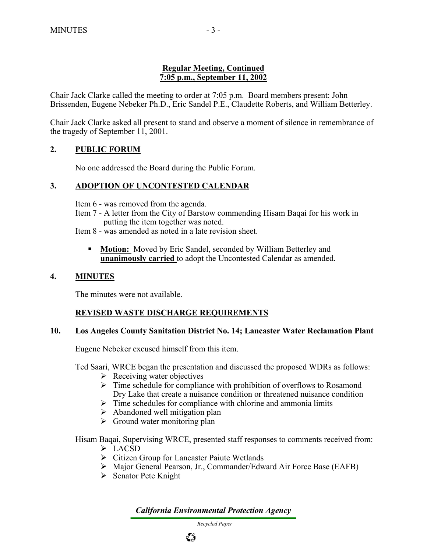# **Regular Meeting, Continued 7:05 p.m., September 11, 2002**

Chair Jack Clarke called the meeting to order at 7:05 p.m. Board members present: John Brissenden, Eugene Nebeker Ph.D., Eric Sandel P.E., Claudette Roberts, and William Betterley.

Chair Jack Clarke asked all present to stand and observe a moment of silence in remembrance of the tragedy of September 11, 2001.

# **2. PUBLIC FORUM**

No one addressed the Board during the Public Forum.

## **3. ADOPTION OF UNCONTESTED CALENDAR**

Item 6 - was removed from the agenda.

Item 7 - A letter from the City of Barstow commending Hisam Baqai for his work in putting the item together was noted.

Item 8 - was amended as noted in a late revision sheet.

**Motion:** Moved by Eric Sandel, seconded by William Betterley and **unanimously carried** to adopt the Uncontested Calendar as amended.

## **4. MINUTES**

The minutes were not available.

## **REVISED WASTE DISCHARGE REQUIREMENTS**

## **10. Los Angeles County Sanitation District No. 14; Lancaster Water Reclamation Plant**

Eugene Nebeker excused himself from this item.

Ted Saari, WRCE began the presentation and discussed the proposed WDRs as follows:

- $\triangleright$  Receiving water objectives
- $\triangleright$  Time schedule for compliance with prohibition of overflows to Rosamond Dry Lake that create a nuisance condition or threatened nuisance condition
- $\triangleright$  Time schedules for compliance with chlorine and ammonia limits
- $\triangleright$  Abandoned well mitigation plan
- $\triangleright$  Ground water monitoring plan

Hisam Baqai, Supervising WRCE, presented staff responses to comments received from:

- $\triangleright$  LACSD
- ¾ Citizen Group for Lancaster Paiute Wetlands
- ¾ Major General Pearson, Jr., Commander/Edward Air Force Base (EAFB)
- $\triangleright$  Senator Pete Knight

*California Environmental Protection Agency*

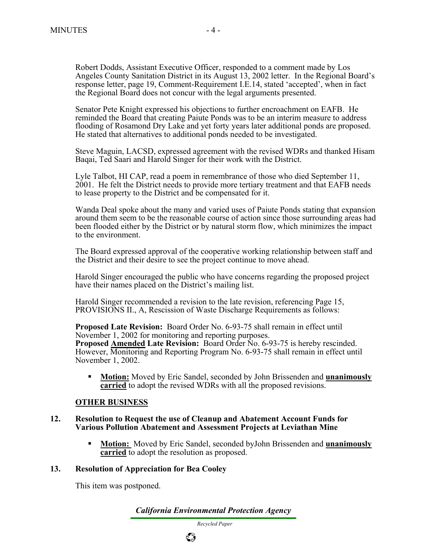Robert Dodds, Assistant Executive Officer, responded to a comment made by Los Angeles County Sanitation District in its August 13, 2002 letter. In the Regional Board's response letter, page 19, Comment-Requirement I.E.14, stated 'accepted', when in fact the Regional Board does not concur with the legal arguments presented.

Senator Pete Knight expressed his objections to further encroachment on EAFB. He reminded the Board that creating Paiute Ponds was to be an interim measure to address flooding of Rosamond Dry Lake and yet forty years later additional ponds are proposed. He stated that alternatives to additional ponds needed to be investigated.

Steve Maguin, LACSD, expressed agreement with the revised WDRs and thanked Hisam Baqai, Ted Saari and Harold Singer for their work with the District.

Lyle Talbot, HI CAP, read a poem in remembrance of those who died September 11, 2001. He felt the District needs to provide more tertiary treatment and that EAFB needs to lease property to the District and be compensated for it.

Wanda Deal spoke about the many and varied uses of Paiute Ponds stating that expansion around them seem to be the reasonable course of action since those surrounding areas had been flooded either by the District or by natural storm flow, which minimizes the impact to the environment.

The Board expressed approval of the cooperative working relationship between staff and the District and their desire to see the project continue to move ahead.

Harold Singer encouraged the public who have concerns regarding the proposed project have their names placed on the District's mailing list.

Harold Singer recommended a revision to the late revision, referencing Page 15, PROVISIONS II., A, Rescission of Waste Discharge Requirements as follows:

**Proposed Late Revision:** Board Order No. 6-93-75 shall remain in effect until November 1, 2002 for monitoring and reporting purposes. **Proposed Amended Late Revision:** Board Order No. 6-93-75 is hereby rescinded. However, Monitoring and Reporting Program No. 6-93-75 shall remain in effect until November 1, 2002.

 **Motion:** Moved by Eric Sandel, seconded by John Brissenden and **unanimously carried** to adopt the revised WDRs with all the proposed revisions.

## **OTHER BUSINESS**

#### **12. Resolution to Request the use of Cleanup and Abatement Account Funds for Various Pollution Abatement and Assessment Projects at Leviathan Mine**

 **Motion:** Moved by Eric Sandel, seconded byJohn Brissenden and **unanimously carried** to adopt the resolution as proposed.

#### **13. Resolution of Appreciation for Bea Cooley**

This item was postponed.

*California Environmental Protection Agency*